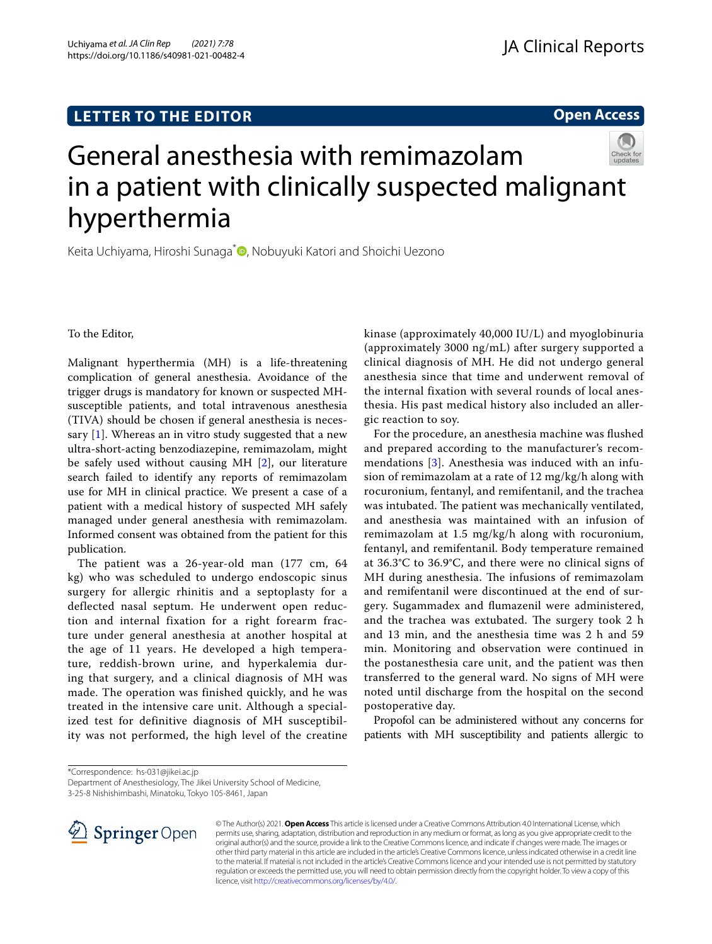Uchiyama *et al. JA Clin Rep (2021) 7:78*  https://doi.org/10.1186/s40981-021-00482-4

**Open Access**

# General anesthesia with remimazolam in a patient with clinically suspected malignant hyperthermia

Keita Uchiyama, Hiroshi Sunaga<sup>[\\*](http://orcid.org/0000-0002-0024-7930)</sup> , Nobuyuki Katori and Shoichi Uezono

To the Editor,

Malignant hyperthermia (MH) is a life-threatening complication of general anesthesia. Avoidance of the trigger drugs is mandatory for known or suspected MHsusceptible patients, and total intravenous anesthesia (TIVA) should be chosen if general anesthesia is neces-sary [[1\]](#page-1-0). Whereas an in vitro study suggested that a new ultra-short-acting benzodiazepine, remimazolam, might be safely used without causing MH [[2\]](#page-1-1), our literature search failed to identify any reports of remimazolam use for MH in clinical practice. We present a case of a patient with a medical history of suspected MH safely managed under general anesthesia with remimazolam. Informed consent was obtained from the patient for this publication.

The patient was a 26-year-old man (177 cm, 64 kg) who was scheduled to undergo endoscopic sinus surgery for allergic rhinitis and a septoplasty for a deflected nasal septum. He underwent open reduction and internal fixation for a right forearm fracture under general anesthesia at another hospital at the age of 11 years. He developed a high temperature, reddish-brown urine, and hyperkalemia during that surgery, and a clinical diagnosis of MH was made. The operation was finished quickly, and he was treated in the intensive care unit. Although a specialized test for definitive diagnosis of MH susceptibility was not performed, the high level of the creatine kinase (approximately 40,000 IU/L) and myoglobinuria (approximately 3000 ng/mL) after surgery supported a clinical diagnosis of MH. He did not undergo general anesthesia since that time and underwent removal of the internal fixation with several rounds of local anesthesia. His past medical history also included an allergic reaction to soy.

For the procedure, an anesthesia machine was fushed and prepared according to the manufacturer's recommendations [[3](#page-1-2)]. Anesthesia was induced with an infusion of remimazolam at a rate of 12 mg/kg/h along with rocuronium, fentanyl, and remifentanil, and the trachea was intubated. The patient was mechanically ventilated, and anesthesia was maintained with an infusion of remimazolam at 1.5 mg/kg/h along with rocuronium, fentanyl, and remifentanil. Body temperature remained at 36.3°C to 36.9°C, and there were no clinical signs of MH during anesthesia. The infusions of remimazolam and remifentanil were discontinued at the end of surgery. Sugammadex and fumazenil were administered, and the trachea was extubated. The surgery took 2 h and 13 min, and the anesthesia time was 2 h and 59 min. Monitoring and observation were continued in the postanesthesia care unit, and the patient was then transferred to the general ward. No signs of MH were noted until discharge from the hospital on the second postoperative day.

Propofol can be administered without any concerns for patients with MH susceptibility and patients allergic to

\*Correspondence: hs-031@jikei.ac.jp

Department of Anesthesiology, The Jikei University School of Medicine,

3-25-8 Nishishimbashi, Minatoku, Tokyo 105-8461, Japan



© The Author(s) 2021. **Open Access** This article is licensed under a Creative Commons Attribution 4.0 International License, which permits use, sharing, adaptation, distribution and reproduction in any medium or format, as long as you give appropriate credit to the original author(s) and the source, provide a link to the Creative Commons licence, and indicate if changes were made. The images or other third party material in this article are included in the article's Creative Commons licence, unless indicated otherwise in a credit line to the material. If material is not included in the article's Creative Commons licence and your intended use is not permitted by statutory regulation or exceeds the permitted use, you will need to obtain permission directly from the copyright holder. To view a copy of this licence, visit [http://creativecommons.org/licenses/by/4.0/.](http://creativecommons.org/licenses/by/4.0/)